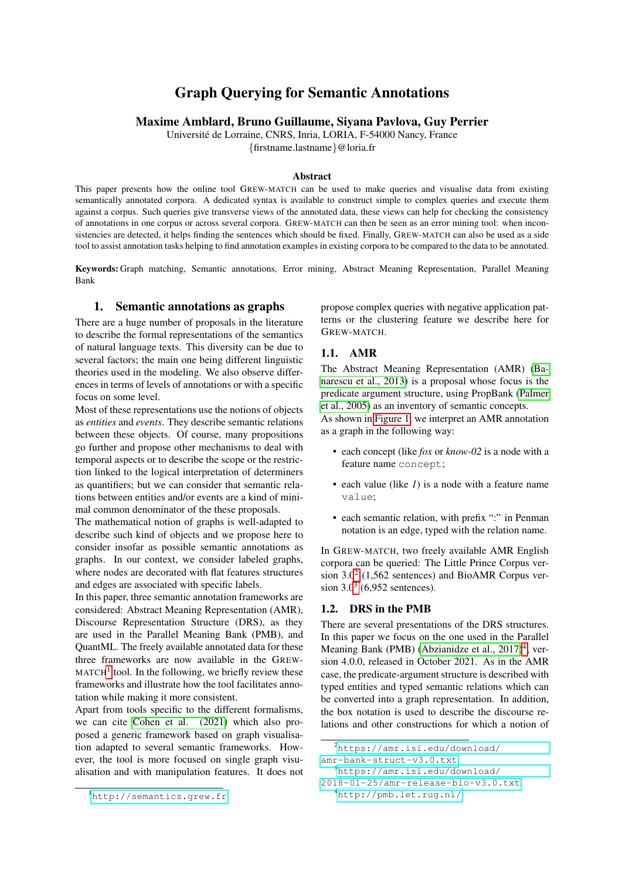# Graph Querying for Semantic Annotations

Maxime Amblard, Bruno Guillaume, Siyana Pavlova, Guy Perrier

Universite de Lorraine, CNRS, Inria, LORIA, F-54000 Nancy, France ´ {firstname.lastname}@loria.fr

## Abstract

This paper presents how the online tool GREW-MATCH can be used to make queries and visualise data from existing semantically annotated corpora. A dedicated syntax is available to construct simple to complex queries and execute them against a corpus. Such queries give transverse views of the annotated data, these views can help for checking the consistency of annotations in one corpus or across several corpora. GREW-MATCH can then be seen as an error mining tool: when inconsistencies are detected, it helps finding the sentences which should be fixed. Finally, GREW-MATCH can also be used as a side tool to assist annotation tasks helping to find annotation examples in existing corpora to be compared to the data to be annotated.

Keywords: Graph matching, Semantic annotations, Error mining, Abstract Meaning Representation, Parallel Meaning Bank

#### 1. Semantic annotations as graphs

There are a huge number of proposals in the literature to describe the formal representations of the semantics of natural language texts. This diversity can be due to several factors; the main one being different linguistic theories used in the modeling. We also observe differences in terms of levels of annotations or with a specific focus on some level.

Most of these representations use the notions of objects as *entities* and *events*. They describe semantic relations between these objects. Of course, many propositions go further and propose other mechanisms to deal with temporal aspects or to describe the scope or the restriction linked to the logical interpretation of determiners as quantifiers; but we can consider that semantic relations between entities and/or events are a kind of minimal common denominator of the these proposals.

The mathematical notion of graphs is well-adapted to describe such kind of objects and we propose here to consider insofar as possible semantic annotations as graphs. In our context, we consider labeled graphs, where nodes are decorated with flat features structures and edges are associated with specific labels.

In this paper, three semantic annotation frameworks are considered: Abstract Meaning Representation (AMR), Discourse Representation Structure (DRS), as they are used in the Parallel Meaning Bank (PMB), and QuantML. The freely available annotated data for these three frameworks are now available in the GREW- $MATCH<sup>1</sup>$  $MATCH<sup>1</sup>$  $MATCH<sup>1</sup>$  tool. In the following, we briefly review these frameworks and illustrate how the tool facilitates annotation while making it more consistent.

Apart from tools specific to the different formalisms, we can cite [Cohen et al. \(2021\)](#page-6-0) which also proposed a generic framework based on graph visualisation adapted to several semantic frameworks. However, the tool is more focused on single graph visualisation and with manipulation features. It does not propose complex queries with negative application patterns or the clustering feature we describe here for GREW-MATCH.

#### 1.1. AMR

The Abstract Meaning Representation (AMR) [\(Ba](#page-6-1)[narescu et al., 2013\)](#page-6-1) is a proposal whose focus is the predicate argument structure, using PropBank [\(Palmer](#page-6-2) [et al., 2005\)](#page-6-2) as an inventory of semantic concepts.

As shown in [Figure 1,](#page-1-0) we interpret an AMR annotation as a graph in the following way:

- each concept (like *fox* or *know-02* is a node with a feature name concept;
- each value (like *1*) is a node with a feature name value;
- each semantic relation, with prefix ":" in Penman notation is an edge, typed with the relation name.

In GREW-MATCH, two freely available AMR English corpora can be queried: The Little Prince Corpus ver-sion 3.0<sup>[2](#page-0-1)</sup> (1,562 sentences) and BioAMR Corpus version 3.0[3](#page-0-2) (6,952 sentences).

#### 1.2. DRS in the PMB

There are several presentations of the DRS structures. In this paper we focus on the one used in the Parallel Meaning Bank (PMB) (Abzianidze et al.,  $2017)^4$  $2017)^4$ , version 4.0.0, released in October 2021. As in the AMR case, the predicate-argument structure is described with typed entities and typed semantic relations which can be converted into a graph representation. In addition, the box notation is used to describe the discourse relations and other constructions for which a notion of

<span id="page-0-0"></span><sup>&</sup>lt;sup>1</sup><http://semantics.grew.fr>

<span id="page-0-1"></span><sup>2</sup>[https://amr.isi.edu/download/](https://amr.isi.edu/download/amr-bank-struct-v3.0.txt)

[amr-bank-struct-v3.0.txt](https://amr.isi.edu/download/amr-bank-struct-v3.0.txt)

<span id="page-0-2"></span><sup>3</sup>[https://amr.isi.edu/download/](https://amr.isi.edu/download/2018-01-25/amr-release-bio-v3.0.txt)

<span id="page-0-3"></span>[<sup>2018-01-25/</sup>amr-release-bio-v3.0.txt](https://amr.isi.edu/download/2018-01-25/amr-release-bio-v3.0.txt) <sup>4</sup><http://pmb.let.rug.nl/>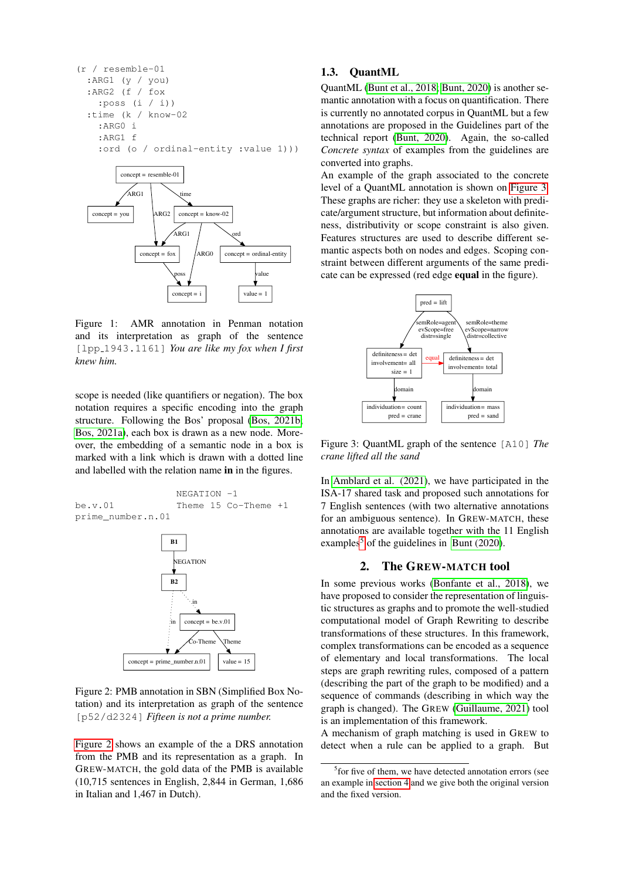(r / resemble-01 :ARG1 (y / you) :ARG2 (f / fox :poss (i / i)) :time (k / know-02 :ARG0 i :ARG1 f :ord (o / ordinal-entity :value 1)))



<span id="page-1-0"></span>Figure 1: AMR annotation in Penman notation and its interpretation as graph of the sentence [lpp 1943.1161] *You are like my fox when I first knew him.*

scope is needed (like quantifiers or negation). The box notation requires a specific encoding into the graph structure. Following the Bos' proposal [\(Bos, 2021b;](#page-6-4) [Bos, 2021a\)](#page-6-5), each box is drawn as a new node. Moreover, the embedding of a semantic node in a box is marked with a link which is drawn with a dotted line and labelled with the relation name in in the figures.



<span id="page-1-1"></span>Figure 2: PMB annotation in SBN (Simplified Box Notation) and its interpretation as graph of the sentence [p52/d2324] *Fifteen is not a prime number.*

[Figure 2](#page-1-1) shows an example of the a DRS annotation from the PMB and its representation as a graph. In GREW-MATCH, the gold data of the PMB is available (10,715 sentences in English, 2,844 in German, 1,686 in Italian and 1,467 in Dutch).

### 1.3. QuantML

QuantML [\(Bunt et al., 2018;](#page-6-6) [Bunt, 2020\)](#page-6-7) is another semantic annotation with a focus on quantification. There is currently no annotated corpus in QuantML but a few annotations are proposed in the Guidelines part of the technical report [\(Bunt, 2020\)](#page-6-7). Again, the so-called *Concrete syntax* of examples from the guidelines are converted into graphs.

An example of the graph associated to the concrete level of a QuantML annotation is shown on [Figure 3.](#page-1-2) These graphs are richer: they use a skeleton with predicate/argument structure, but information about definiteness, distributivity or scope constraint is also given. Features structures are used to describe different semantic aspects both on nodes and edges. Scoping constraint between different arguments of the same predicate can be expressed (red edge equal in the figure).



<span id="page-1-2"></span>Figure 3: QuantML graph of the sentence [A10] *The crane lifted all the sand*

In [Amblard et al. \(2021\)](#page-6-8), we have participated in the ISA-17 shared task and proposed such annotations for 7 English sentences (with two alternative annotations for an ambiguous sentence). In GREW-MATCH, these annotations are available together with the 11 English examples<sup>[5](#page-1-3)</sup> of the guidelines in [Bunt \(2020\)](#page-6-7).

#### 2. The GREW-MATCH tool

In some previous works [\(Bonfante et al., 2018\)](#page-6-9), we have proposed to consider the representation of linguistic structures as graphs and to promote the well-studied computational model of Graph Rewriting to describe transformations of these structures. In this framework, complex transformations can be encoded as a sequence of elementary and local transformations. The local steps are graph rewriting rules, composed of a pattern (describing the part of the graph to be modified) and a sequence of commands (describing in which way the graph is changed). The GREW [\(Guillaume, 2021\)](#page-6-10) tool is an implementation of this framework.

A mechanism of graph matching is used in GREW to detect when a rule can be applied to a graph. But

<span id="page-1-3"></span><sup>&</sup>lt;sup>5</sup> for five of them, we have detected annotation errors (see an example in [section 4](#page-4-0) and we give both the original version and the fixed version.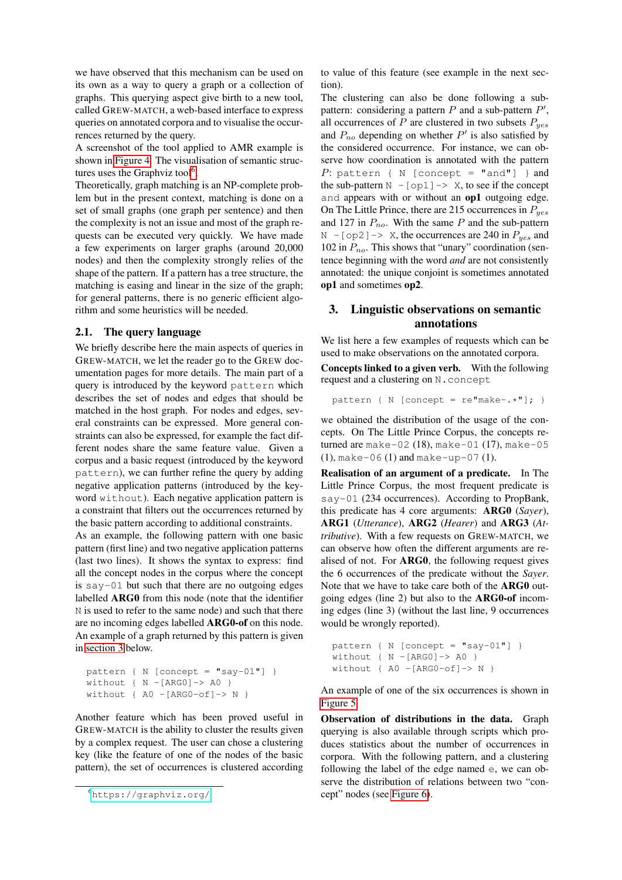we have observed that this mechanism can be used on its own as a way to query a graph or a collection of graphs. This querying aspect give birth to a new tool, called GREW-MATCH, a web-based interface to express queries on annotated corpora and to visualise the occurrences returned by the query.

A screenshot of the tool applied to AMR example is shown in [Figure 4.](#page-3-0) The visualisation of semantic struc-tures uses the Graphviz tool<sup>[6](#page-2-0)</sup>.

Theoretically, graph matching is an NP-complete problem but in the present context, matching is done on a set of small graphs (one graph per sentence) and then the complexity is not an issue and most of the graph requests can be executed very quickly. We have made a few experiments on larger graphs (around 20,000 nodes) and then the complexity strongly relies of the shape of the pattern. If a pattern has a tree structure, the matching is easing and linear in the size of the graph; for general patterns, there is no generic efficient algorithm and some heuristics will be needed.

#### 2.1. The query language

We briefly describe here the main aspects of queries in GREW-MATCH, we let the reader go to the GREW documentation pages for more details. The main part of a query is introduced by the keyword pattern which describes the set of nodes and edges that should be matched in the host graph. For nodes and edges, several constraints can be expressed. More general constraints can also be expressed, for example the fact different nodes share the same feature value. Given a corpus and a basic request (introduced by the keyword pattern), we can further refine the query by adding negative application patterns (introduced by the keyword without). Each negative application pattern is a constraint that filters out the occurrences returned by the basic pattern according to additional constraints.

As an example, the following pattern with one basic pattern (first line) and two negative application patterns (last two lines). It shows the syntax to express: find all the concept nodes in the corpus where the concept is say-01 but such that there are no outgoing edges labelled ARG0 from this node (note that the identifier N is used to refer to the same node) and such that there are no incoming edges labelled ARG0-of on this node. An example of a graph returned by this pattern is given in [section 3](#page-2-1) below.

```
pattern { N [concept = "say-01"] }
without \{ N - [ARG0] \rightarrow AO \}without { AO -[ARG0-of] \rightarrow N }
```
Another feature which has been proved useful in GREW-MATCH is the ability to cluster the results given by a complex request. The user can chose a clustering key (like the feature of one of the nodes of the basic pattern), the set of occurrences is clustered according to value of this feature (see example in the next section).

The clustering can also be done following a subpattern: considering a pattern  $P$  and a sub-pattern  $P'$ , all occurrences of P are clustered in two subsets  $P_{yes}$ and  $P_{no}$  depending on whether  $P'$  is also satisfied by the considered occurrence. For instance, we can observe how coordination is annotated with the pattern P: pattern { N [concept = "and"] } and the sub-pattern  $N - [op1] \rightarrow X$ , to see if the concept and appears with or without an op1 outgoing edge. On The Little Prince, there are 215 occurrences in  $P_{yes}$ and 127 in  $P_{no}$ . With the same P and the sub-pattern  $N - [op2] \rightarrow X$ , the occurrences are 240 in  $P_{yes}$  and 102 in  $P_{no}$ . This shows that "unary" coordination (sentence beginning with the word *and* are not consistently annotated: the unique conjoint is sometimes annotated op1 and sometimes op2.

# <span id="page-2-1"></span>3. Linguistic observations on semantic annotations

We list here a few examples of requests which can be used to make observations on the annotated corpora.

Concepts linked to a given verb. With the following request and a clustering on N.concept

pattern { N [concept =  $re^{\pi}$ make-.\*"]; }

we obtained the distribution of the usage of the concepts. On The Little Prince Corpus, the concepts returned are make-02 (18), make-01 (17), make-05 (1), make-06 (1) and make-up-07 (1).

Realisation of an argument of a predicate. In The Little Prince Corpus, the most frequent predicate is say-01 (234 occurrences). According to PropBank, this predicate has 4 core arguments: ARG0 (*Sayer*), ARG1 (*Utterance*), ARG2 (*Hearer*) and ARG3 (*Attributive*). With a few requests on GREW-MATCH, we can observe how often the different arguments are realised of not. For ARG0, the following request gives the 6 occurrences of the predicate without the *Sayer*. Note that we have to take care both of the ARG0 outgoing edges (line 2) but also to the ARG0-of incoming edges (line 3) (without the last line, 9 occurrences would be wrongly reported).

```
pattern { N [concept = "say-01"] }
without \{ N - [ARG0] \rightarrow AO \}without { AO -[ARG0-of] \rightarrow N }
```
An example of one of the six occurrences is shown in [Figure 5.](#page-3-1)

Observation of distributions in the data. Graph querying is also available through scripts which produces statistics about the number of occurrences in corpora. With the following pattern, and a clustering following the label of the edge named e, we can observe the distribution of relations between two "concept" nodes (see [Figure 6\)](#page-3-2).

<span id="page-2-0"></span><sup>6</sup><https://graphviz.org/>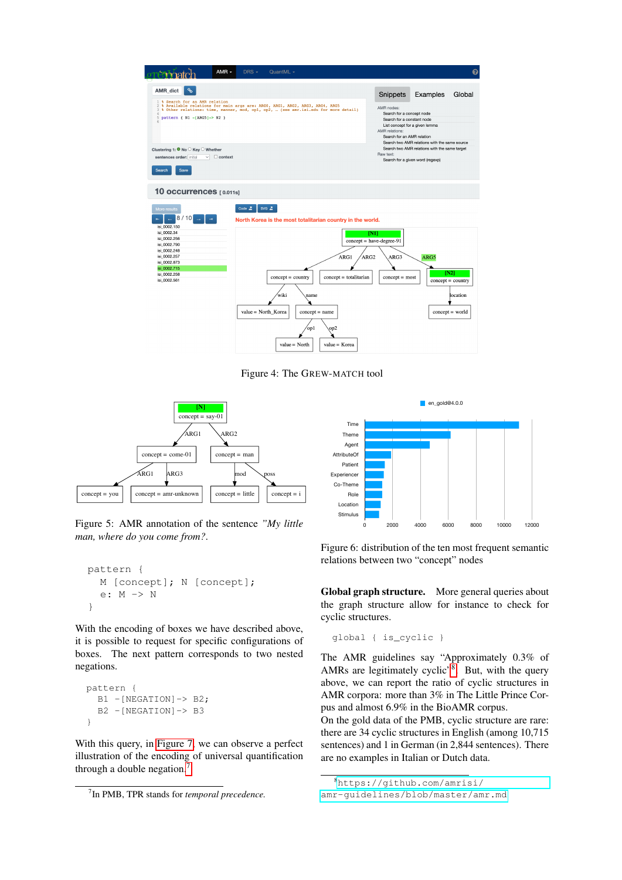

<span id="page-3-0"></span>Figure 4: The GREW-MATCH tool



<span id="page-3-1"></span>Figure 5: AMR annotation of the sentence *"My little man, where do you come from?*.

```
pattern {
  M [concept]; N [concept];
  e: M -> N
}
```
With the encoding of boxes we have described above, it is possible to request for specific configurations of boxes. The next pattern corresponds to two nested negations.

```
pattern {
 B1 -[NEGATION]-> B2;
  B2 -[NEGATION]-> B3
}
```
With this query, in [Figure 7,](#page-4-1) we can observe a perfect illustration of the encoding of universal quantification through a double negation.



<span id="page-3-2"></span>Figure 6: distribution of the ten most frequent semantic relations between two "concept" nodes

Global graph structure. More general queries about the graph structure allow for instance to check for cyclic structures.

global { is\_cyclic }

The AMR guidelines say "Approximately 0.3% of AMRs are legitimately cyclic"<sup>[8](#page-3-4)</sup>. But, with the query above, we can report the ratio of cyclic structures in AMR corpora: more than 3% in The Little Prince Corpus and almost 6.9% in the BioAMR corpus.

On the gold data of the PMB, cyclic structure are rare: there are 34 cyclic structures in English (among 10,715 sentences) and 1 in German (in 2,844 sentences). There are no examples in Italian or Dutch data.

<span id="page-3-3"></span><sup>7</sup> In PMB, TPR stands for *temporal precedence.*

<span id="page-3-4"></span><sup>8</sup>[https://github.com/amrisi/](https://github.com/amrisi/amr-guidelines/blob/master/amr.md)

[amr-guidelines/blob/master/amr.md](https://github.com/amrisi/amr-guidelines/blob/master/amr.md)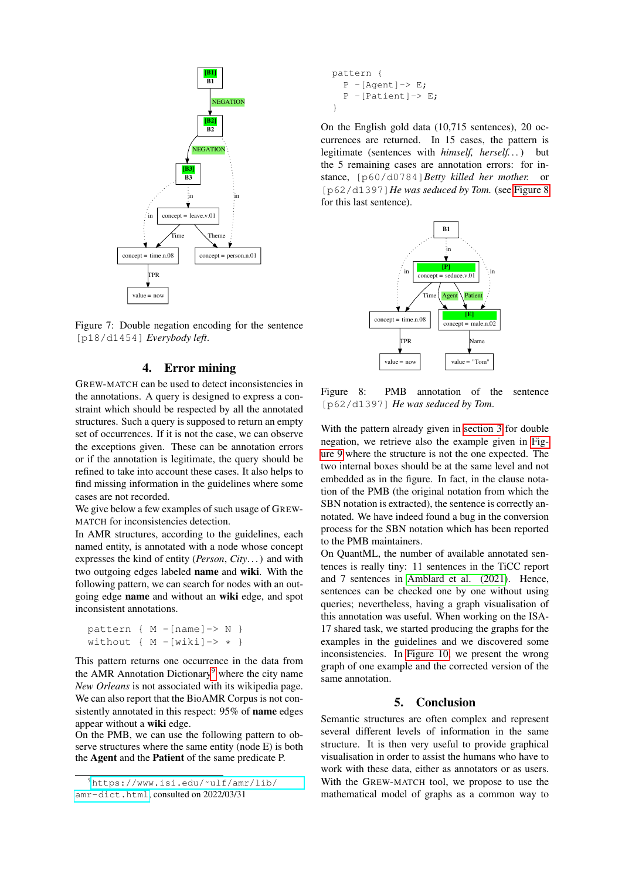

<span id="page-4-1"></span>Figure 7: Double negation encoding for the sentence [p18/d1454] *Everybody left*.

## 4. Error mining

<span id="page-4-0"></span>GREW-MATCH can be used to detect inconsistencies in the annotations. A query is designed to express a constraint which should be respected by all the annotated structures. Such a query is supposed to return an empty set of occurrences. If it is not the case, we can observe the exceptions given. These can be annotation errors or if the annotation is legitimate, the query should be refined to take into account these cases. It also helps to find missing information in the guidelines where some cases are not recorded.

We give below a few examples of such usage of GREW-MATCH for inconsistencies detection.

In AMR structures, according to the guidelines, each named entity, is annotated with a node whose concept expresses the kind of entity (*Person*, *City*. . . ) and with two outgoing edges labeled name and wiki. With the following pattern, we can search for nodes with an outgoing edge name and without an wiki edge, and spot inconsistent annotations.

```
pattern { M -[name]-> N }
without { M - [wiki] \rightarrow * }
```
This pattern returns one occurrence in the data from the AMR Annotation Dictionary<sup>[9](#page-4-2)</sup> where the city name *New Orleans* is not associated with its wikipedia page. We can also report that the BioAMR Corpus is not consistently annotated in this respect: 95% of name edges appear without a wiki edge.

On the PMB, we can use the following pattern to observe structures where the same entity (node E) is both the Agent and the Patient of the same predicate P.

```
pattern {
   P - [Agent] \rightarrow E;P - [Pational] \rightarrow E;}
```
On the English gold data (10,715 sentences), 20 occurrences are returned. In 15 cases, the pattern is legitimate (sentences with *himself, herself. . .*) but the 5 remaining cases are annotation errors: for instance, [p60/d0784]*Betty killed her mother.* or [p62/d1397]*He was seduced by Tom.* (see [Figure 8](#page-4-3) for this last sentence).



<span id="page-4-3"></span>Figure 8: PMB annotation of the sentence [p62/d1397] *He was seduced by Tom*.

With the pattern already given in [section 3](#page-2-1) for double negation, we retrieve also the example given in [Fig](#page-5-0)[ure 9](#page-5-0) where the structure is not the one expected. The two internal boxes should be at the same level and not embedded as in the figure. In fact, in the clause notation of the PMB (the original notation from which the SBN notation is extracted), the sentence is correctly annotated. We have indeed found a bug in the conversion process for the SBN notation which has been reported to the PMB maintainers.

On QuantML, the number of available annotated sentences is really tiny: 11 sentences in the TiCC report and 7 sentences in [Amblard et al. \(2021\)](#page-6-8). Hence, sentences can be checked one by one without using queries; nevertheless, having a graph visualisation of this annotation was useful. When working on the ISA-17 shared task, we started producing the graphs for the examples in the guidelines and we discovered some inconsistencies. In [Figure 10,](#page-5-1) we present the wrong graph of one example and the corrected version of the same annotation.

#### 5. Conclusion

Semantic structures are often complex and represent several different levels of information in the same structure. It is then very useful to provide graphical visualisation in order to assist the humans who have to work with these data, either as annotators or as users. With the GREW-MATCH tool, we propose to use the mathematical model of graphs as a common way to

<span id="page-4-2"></span><sup>9</sup>[https://www.isi.edu/˜ulf/amr/lib/](https://www.isi.edu/~ulf/amr/lib/amr-dict.html) [amr-dict.html](https://www.isi.edu/~ulf/amr/lib/amr-dict.html), consulted on 2022/03/31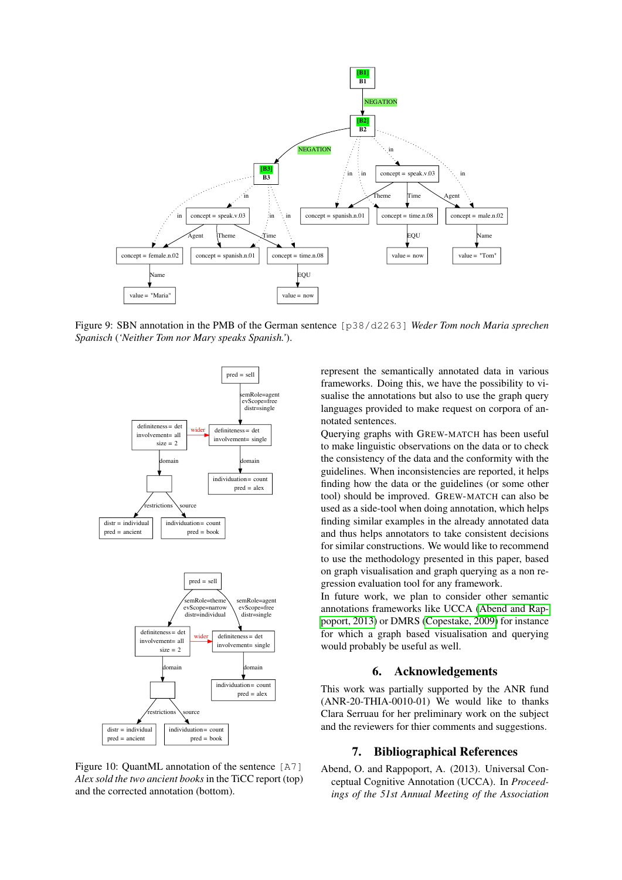

<span id="page-5-0"></span>Figure 9: SBN annotation in the PMB of the German sentence [p38/d2263] *Weder Tom noch Maria sprechen Spanisch* (*'Neither Tom nor Mary speaks Spanish.'*).



<span id="page-5-1"></span>Figure 10: QuantML annotation of the sentence [A7] *Alex sold the two ancient books* in the TiCC report (top) and the corrected annotation (bottom).

represent the semantically annotated data in various frameworks. Doing this, we have the possibility to visualise the annotations but also to use the graph query languages provided to make request on corpora of annotated sentences.

Querying graphs with GREW-MATCH has been useful to make linguistic observations on the data or to check the consistency of the data and the conformity with the guidelines. When inconsistencies are reported, it helps finding how the data or the guidelines (or some other tool) should be improved. GREW-MATCH can also be used as a side-tool when doing annotation, which helps finding similar examples in the already annotated data and thus helps annotators to take consistent decisions for similar constructions. We would like to recommend to use the methodology presented in this paper, based on graph visualisation and graph querying as a non regression evaluation tool for any framework.

In future work, we plan to consider other semantic annotations frameworks like UCCA [\(Abend and Rap](#page-5-2)[poport, 2013\)](#page-5-2) or DMRS [\(Copestake, 2009\)](#page-6-11) for instance for which a graph based visualisation and querying would probably be useful as well.

#### 6. Acknowledgements

This work was partially supported by the ANR fund (ANR-20-THIA-0010-01) We would like to thanks Clara Serruau for her preliminary work on the subject and the reviewers for thier comments and suggestions.

#### 7. Bibliographical References

<span id="page-5-2"></span>Abend, O. and Rappoport, A. (2013). Universal Conceptual Cognitive Annotation (UCCA). In *Proceedings of the 51st Annual Meeting of the Association*